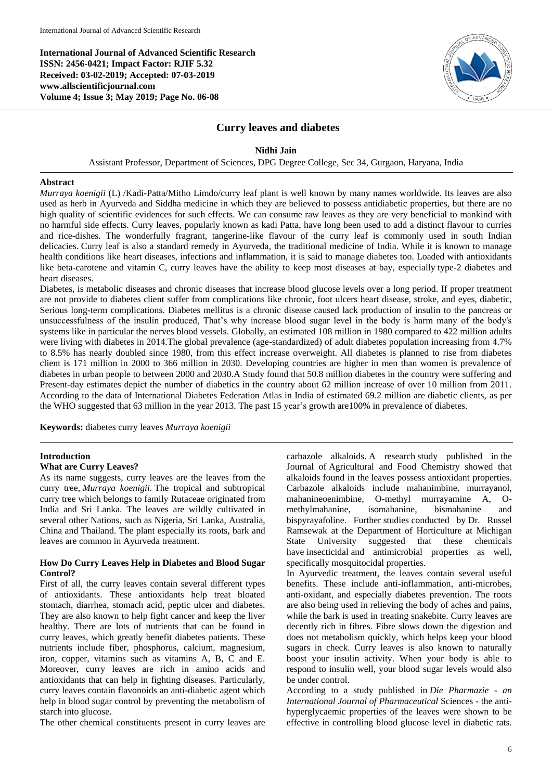**International Journal of Advanced Scientific Research ISSN: 2456-0421; Impact Factor: RJIF 5.32 Received: 03-02-2019; Accepted: 07-03-2019 www.allscientificjournal.com Volume 4; Issue 3; May 2019; Page No. 06-08**



## **Curry leaves and diabetes**

#### **Nidhi Jain**

Assistant Professor, Department of Sciences, DPG Degree College, Sec 34, Gurgaon, Haryana, India

#### **Abstract**

*Murraya koenigii* (L) /Kadi-Patta/Mitho Limdo/curry leaf plant is well known by many names worldwide. Its leaves are also used as herb in Ayurveda and Siddha medicine in which they are believed to possess antidiabetic properties, but there are no high quality of scientific evidences for such effects. We can consume raw leaves as they are very beneficial to mankind with no harmful side effects. Curry leaves, popularly known as kadi Patta, have long been used to add a distinct flavour to curries and rice-dishes. The wonderfully fragrant, tangerine-like flavour of the curry leaf is commonly used in south Indian delicacies. Curry leaf is also a standard remedy in Ayurveda, the traditional medicine of India. While it is known to manage health conditions like heart diseases, infections and inflammation, it is said to manage diabetes too. Loaded with antioxidants like beta-carotene and vitamin C, curry leaves have the ability to keep most diseases at bay, especially type-2 diabetes and heart diseases.

Diabetes, is metabolic diseases and chronic diseases that increase blood glucose levels over a long period. If proper treatment are not provide to diabetes client suffer from complications like chronic, foot ulcers heart disease, stroke, and eyes, diabetic, Serious long-term complications. Diabetes mellitus is a chronic disease caused lack production of insulin to the pancreas or unsuccessfulness of the insulin produced, That's why increase blood sugar level in the body is harm many of the body's systems like in particular the nerves blood vessels. Globally, an estimated 108 million in 1980 compared to 422 million adults were living with diabetes in 2014.The global prevalence (age-standardized) of adult diabetes population increasing from 4.7% to 8.5% has nearly doubled since 1980, from this effect increase overweight. All diabetes is planned to rise from diabetes client is 171 million in 2000 to 366 million in 2030. Developing countries are higher in men than women is prevalence of diabetes in urban people to between 2000 and 2030.A Study found that 50.8 million diabetes in the country were suffering and Present-day estimates depict the number of diabetics in the country about 62 million increase of over 10 million from 2011. According to the data of International Diabetes Federation Atlas in India of estimated 69.2 million are diabetic clients, as per the WHO suggested that 63 million in the year 2013. The past 15 year's growth are100% in prevalence of diabetes.

**Keywords:** diabetes curry leaves *Murraya koenigii*

#### **Introduction**

### **What are Curry Leaves?**

As its name suggests, curry leaves are the leaves from the curry tree, *Murraya koenigii*. The tropical and subtropical curry tree which belongs to family Rutaceae originated from India and Sri Lanka. The leaves are wildly cultivated in several other Nations, such as Nigeria, Sri Lanka, Australia, China and Thailand. The plant especially its roots, bark and leaves are common in Ayurveda treatment.

#### **How Do Curry Leaves Help in Diabetes and Blood Sugar Control?**

First of all, the curry leaves contain several different types of antioxidants. These antioxidants help treat bloated stomach, diarrhea, stomach acid, peptic ulcer and diabetes. They are also known to help fight cancer and keep the liver healthy. There are lots of nutrients that can be found in curry leaves, which greatly benefit diabetes patients. These nutrients include fiber, phosphorus, calcium, magnesium, iron, copper, vitamins such as vitamins A, B, C and E. Moreover, curry leaves are rich in amino acids and antioxidants that can help in fighting diseases. Particularly, curry leaves contain flavonoids an anti-diabetic agent which help in blood sugar control by preventing the metabolism of starch into glucose.

The other chemical constituents present in curry leaves are

carbazole alkaloids. A research study published in the Journal of Agricultural and Food Chemistry showed that alkaloids found in the leaves possess antioxidant properties. Carbazole alkaloids include mahanimbine, murrayanol, mahanineoenimbine, O-methyl murrayamine A, Omethylmahanine, isomahanine, bismahanine and bispyrayafoline. Further studies conducted by Dr. Russel Ramsewak at the Department of Horticulture at Michigan State University suggested that these chemicals have insecticidal and antimicrobial properties as well, specifically mosquitocidal properties.

In Ayurvedic treatment, the leaves contain several useful benefits. These include anti-inflammation, anti-microbes, anti-oxidant, and especially diabetes prevention. The roots are also being used in relieving the body of aches and pains, while the bark is used in treating snakebite. Curry leaves are decently rich in fibres. Fibre slows down the digestion and does not metabolism quickly, which helps keep your blood sugars in check. Curry leaves is also known to naturally boost your insulin activity. When your body is able to respond to insulin well, your blood sugar levels would also be under control.

According to a study published in *Die Pharmazie - an International Journal of Pharmaceutical* Sciences - the antihyperglycaemic properties of the leaves were shown to be effective in controlling blood glucose level in diabetic rats.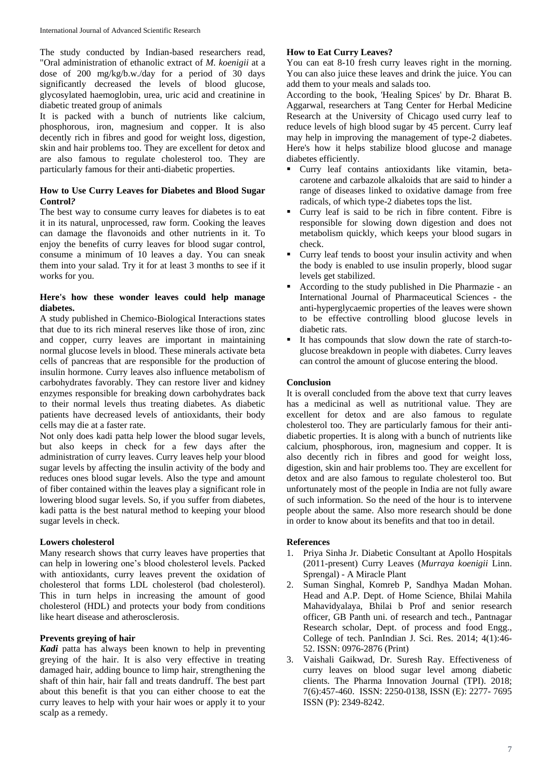The study conducted by Indian-based researchers read, "Oral administration of ethanolic extract of *M. koenigii* at a dose of 200 mg/kg/b.w./day for a period of 30 days significantly decreased the levels of blood glucose, glycosylated haemoglobin, urea, uric acid and creatinine in diabetic treated group of animals

It is packed with a bunch of nutrients like calcium, phosphorous, iron, magnesium and copper. It is also decently rich in fibres and good for weight loss, digestion, skin and hair problems too. They are excellent for detox and are also famous to regulate cholesterol too. They are particularly famous for their anti-diabetic properties.

### **How to Use Curry Leaves for Diabetes and Blood Sugar Control***?*

The best way to consume curry leaves for diabetes is to eat it in its natural, unprocessed, raw form. Cooking the leaves can damage the flavonoids and other nutrients in it. To enjoy the benefits of curry leaves for blood sugar control, consume a minimum of 10 leaves a day. You can sneak them into your salad. Try it for at least 3 months to see if it works for you.

## **Here's how these wonder leaves could help manage diabetes.**

A study published in Chemico-Biological Interactions states that due to its rich mineral reserves like those of iron, zinc and copper, curry leaves are important in maintaining normal glucose levels in blood. These minerals activate beta cells of pancreas that are responsible for the production of insulin hormone. Curry leaves also influence metabolism of carbohydrates favorably. They can restore liver and kidney enzymes responsible for breaking down carbohydrates back to their normal levels thus treating diabetes. As diabetic patients have decreased levels of antioxidants, their body cells may die at a faster rate.

Not only does kadi patta help lower the blood sugar levels, but also keeps in check for a few days after the administration of curry leaves. Curry leaves help your blood sugar levels by affecting the insulin activity of the body and reduces ones blood sugar levels. Also the type and amount of fiber contained within the leaves play a significant role in lowering blood sugar levels. So, if you suffer from diabetes, kadi patta is the best natural method to keeping your blood sugar levels in check.

# **Lowers cholesterol**

Many research shows that curry leaves have properties that can help in lowering one's blood cholesterol levels. Packed with antioxidants, curry leaves prevent the oxidation of cholesterol that forms LDL cholesterol (bad cholesterol). This in turn helps in increasing the amount of good cholesterol (HDL) and protects your body from conditions like heart disease and atherosclerosis.

#### **Prevents greying of hair**

*Kadi* patta has always been known to help in preventing greying of the hair. It is also very effective in treating damaged hair, adding bounce to limp hair, strengthening the shaft of thin hair, hair fall and treats dandruff. The best part about this benefit is that you can either choose to eat the curry leaves to help with your hair woes or apply it to your scalp as a remedy.

# **How to Eat Curry Leaves?**

You can eat 8-10 fresh curry leaves right in the morning. You can also juice these leaves and drink the juice. You can add them to your meals and salads too.

According to the book, 'Healing Spices' by Dr. Bharat B. Aggarwal, researchers at Tang Center for Herbal Medicine Research at the University of Chicago used curry leaf to reduce levels of high blood sugar by 45 percent. Curry leaf may help in improving the management of type-2 diabetes. Here's how it helps stabilize blood glucose and manage diabetes efficiently.

- Curry leaf contains antioxidants like vitamin, betacarotene and carbazole alkaloids that are said to hinder a range of diseases linked to oxidative damage from free radicals, of which type-2 diabetes tops the list.
- Curry leaf is said to be rich in fibre content. Fibre is responsible for slowing down digestion and does not metabolism quickly, which keeps your blood sugars in check.
- Curry leaf tends to boost your insulin activity and when the body is enabled to use insulin properly, blood sugar levels get stabilized.
- According to the study published in Die Pharmazie an International Journal of Pharmaceutical Sciences - the anti-hyperglycaemic properties of the leaves were shown to be effective controlling blood glucose levels in diabetic rats.
- It has compounds that slow down the rate of starch-toglucose breakdown in people with diabetes. Curry leaves can control the amount of glucose entering the blood.

# **Conclusion**

It is overall concluded from the above text that curry leaves has a medicinal as well as nutritional value. They are excellent for detox and are also famous to regulate cholesterol too. They are particularly famous for their antidiabetic properties. It is along with a bunch of nutrients like calcium, phosphorous, iron, magnesium and copper. It is also decently rich in fibres and good for weight loss, digestion, skin and hair problems too. They are excellent for detox and are also famous to regulate cholesterol too. But unfortunately most of the people in India are not fully aware of such information. So the need of the hour is to intervene people about the same. Also more research should be done in order to know about its benefits and that too in detail.

#### **References**

- 1. Priya Sinha Jr. Diabetic Consultant at Apollo Hospitals (2011-present) Curry Leaves (*Murraya koenigii* Linn. Sprengal) - A Miracle Plant
- 2. Suman Singhal, Komreb P, Sandhya Madan Mohan. Head and A.P. Dept. of Home Science, Bhilai Mahila Mahavidyalaya, Bhilai b Prof and senior research officer, GB Panth uni. of research and tech., Pantnagar Research scholar, Dept. of process and food Engg., College of tech. PanIndian J. Sci. Res. 2014; 4(1):46- 52. ISSN: 0976-2876 (Print)
- 3. Vaishali Gaikwad, Dr. Suresh Ray. Effectiveness of curry leaves on blood sugar level among diabetic clients. The Pharma Innovation Journal (TPI). 2018; 7(6):457-460. ISSN: 2250-0138, ISSN (E): 2277- 7695 ISSN (P): 2349-8242.